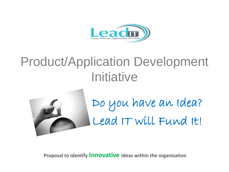

## Product/Application Development **Initiative**



Do you have an Idea? Lead IT will Fund It!

**Proposal to identify Innovative ideas within the organization**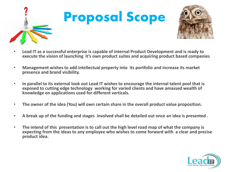

# Proposal Scope



- **Lead IT as a successful enterprise is capable of internal Product Development and is ready to execute the vision of launching it's own product suites and acquiring product based companies**
- **Management wishes to add intellectual property into its portfolio and increase its market presence and brand visibility.**
- **In parallel to its external look out Lead IT wishes to encourage the internal talent pool that is exposed to cutting edge technology working for varied clients and have amassed wealth of knowledge on applications used for different verticals.**
- **The owner of the idea (You) will own certain share in the overall product value proposition.**
- **A break up of the funding and stages involved shall be detailed out once an idea is presented .**
- **The intend of this presentation is to call out the high level road map of what the company is expecting from the ideas to any employee who wishes to come forward with a clear and precise product idea.**

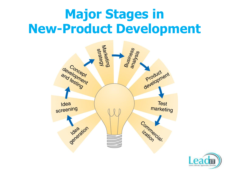# **Major Stages in New-Product Development**



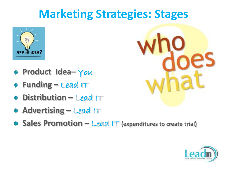### **Marketing Strategies: Stages**



- **Product Idea–** You
- **Funding –** Lead IT
- **Distribution –** Lead IT
- **Advertising –** Lead IT
- **Sales Promotion –** Lead IT **(expenditures to create trial)**



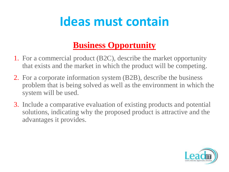### **Ideas must contain**

#### **Business Opportunity**

- 1. For a commercial product (B2C), describe the market opportunity that exists and the market in which the product will be competing.
- 2. For a corporate information system (B2B), describe the business problem that is being solved as well as the environment in which the system will be used.
- 3. Include a comparative evaluation of existing products and potential solutions, indicating why the proposed product is attractive and the advantages it provides.

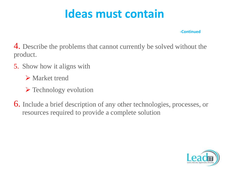#### **Ideas must contain**

**-Continued**

4. Describe the problems that cannot currently be solved without the product.

- 5. Show how it aligns with
	- **Market trend**
	- $\triangleright$  Technology evolution
- 6. Include a brief description of any other technologies, processes, or resources required to provide a complete solution

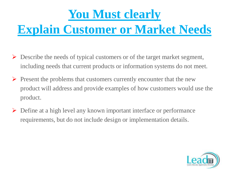# **You Must clearly Explain Customer or Market Needs**

- $\triangleright$  Describe the needs of typical customers or of the target market segment, including needs that current products or information systems do not meet.
- Present the problems that customers currently encounter that the new product will address and provide examples of how customers would use the product.
- Define at a high level any known important interface or performance requirements, but do not include design or implementation details.

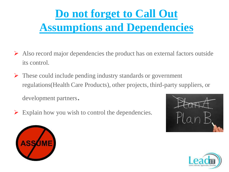### **Do not forget to Call Out Assumptions and Dependencies**

- $\triangleright$  Also record major dependencies the product has on external factors outside its control.
- $\triangleright$  These could include pending industry standards or government regulations(Health Care Products), other projects, third-party suppliers, or

development partners.

 $\triangleright$  Explain how you wish to control the dependencies.





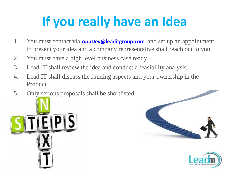# **If you really have an Idea**

- 1. You must contact via **[AppDev@leaditgroup.com](mailto:AppDev@leaditgroup.com)** and set up an appointment to present your idea and a company representative shall reach out to you.
- 2. You must have a high level business case ready.
- 3. Lead IT shall review the idea and conduct a feasibility analysis.
- 4. Lead IT shall discuss the funding aspects and your ownership in the Product.
- 5. Only serious proposals shall be shortlisted.